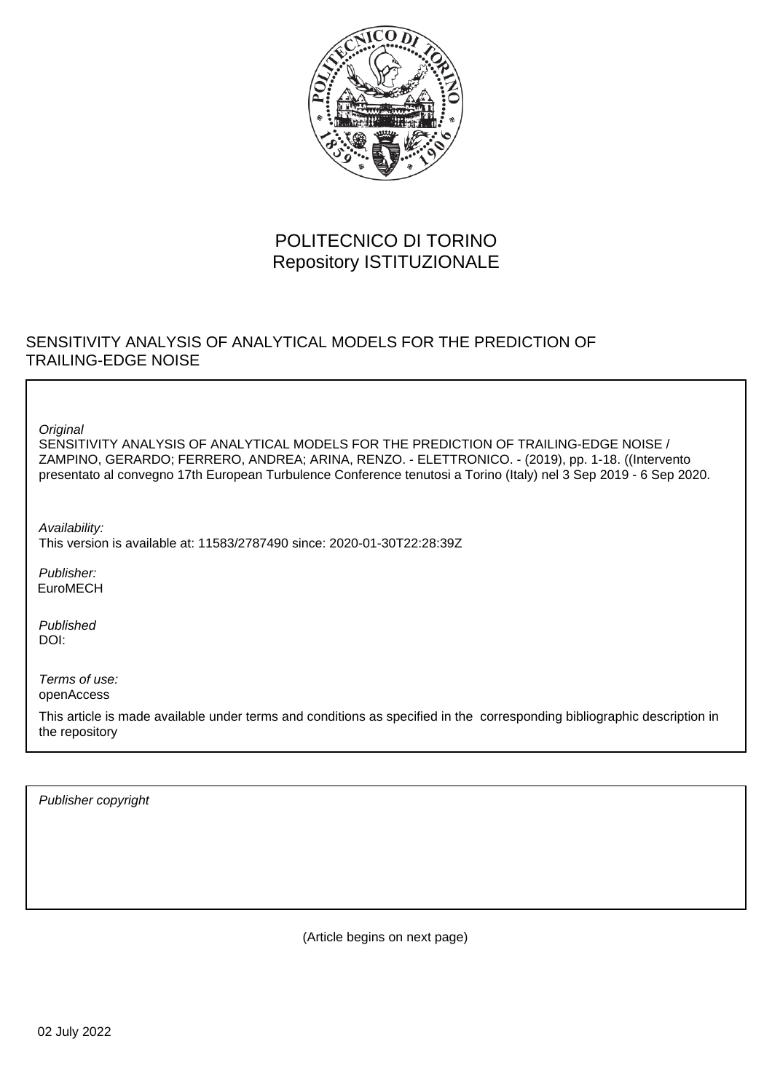

# POLITECNICO DI TORINO Repository ISTITUZIONALE

## SENSITIVITY ANALYSIS OF ANALYTICAL MODELS FOR THE PREDICTION OF TRAILING-EDGE NOISE

**Original** 

SENSITIVITY ANALYSIS OF ANALYTICAL MODELS FOR THE PREDICTION OF TRAILING-EDGE NOISE / ZAMPINO, GERARDO; FERRERO, ANDREA; ARINA, RENZO. - ELETTRONICO. - (2019), pp. 1-18. ((Intervento presentato al convegno 17th European Turbulence Conference tenutosi a Torino (Italy) nel 3 Sep 2019 - 6 Sep 2020.

Availability: This version is available at: 11583/2787490 since: 2020-01-30T22:28:39Z

Publisher: EuroMECH

Published DOI:

Terms of use: openAccess

This article is made available under terms and conditions as specified in the corresponding bibliographic description in the repository

Publisher copyright

(Article begins on next page)